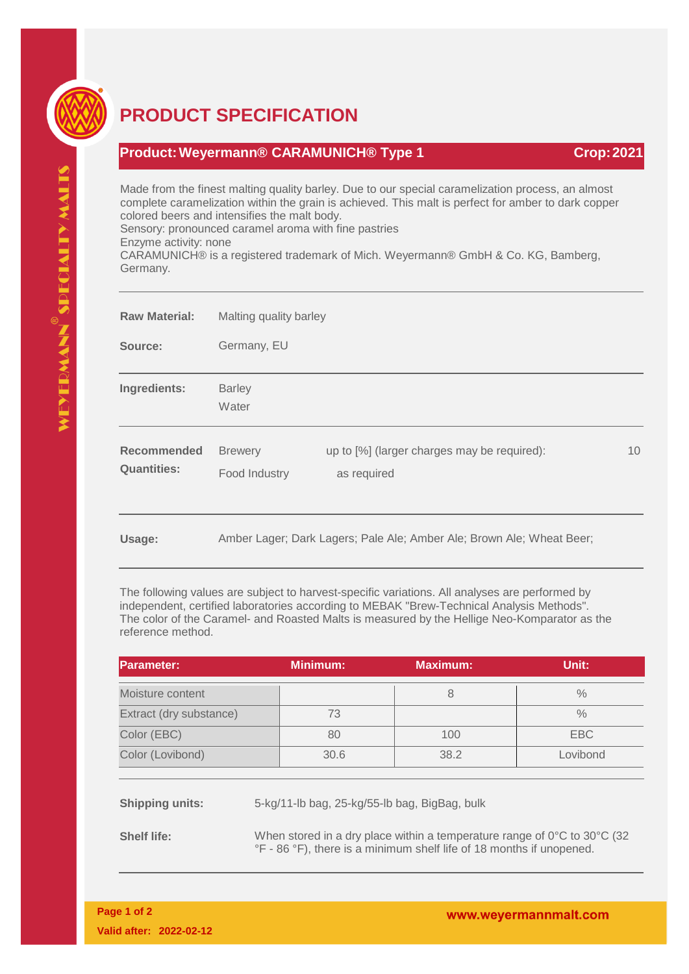

## **PRODUCT SPECIFICATION**

## **Product: Weyermann® CARAMUNICH® Type 1 Crop: 2021**

Made from the finest malting quality barley. Due to our special caramelization process, an almost complete caramelization within the grain is achieved. This malt is perfect for amber to dark copper colored beers and intensifies the malt body.

Sensory: pronounced caramel aroma with fine pastries

Enzyme activity: none

CARAMUNICH® is a registered trademark of Mich. Weyermann® GmbH & Co. KG, Bamberg, Germany.

| <b>Raw Material:</b>                     | Malting quality barley                                                |                                                            |    |
|------------------------------------------|-----------------------------------------------------------------------|------------------------------------------------------------|----|
| Source:                                  | Germany, EU                                                           |                                                            |    |
| Ingredients:                             | <b>Barley</b><br>Water                                                |                                                            |    |
| <b>Recommended</b><br><b>Quantities:</b> | <b>Brewery</b><br>Food Industry                                       | up to [%] (larger charges may be required):<br>as required | 10 |
| Usage:                                   | Amber Lager; Dark Lagers; Pale Ale; Amber Ale; Brown Ale; Wheat Beer; |                                                            |    |

The following values are subject to harvest-specific variations. All analyses are performed by independent, certified laboratories according to MEBAK "Brew-Technical Analysis Methods". The color of the Caramel- and Roasted Malts is measured by the Hellige Neo-Komparator as the reference method.

| <b>Parameter:</b>       | Minimum: | <b>Maximum:</b> | Unit:         |
|-------------------------|----------|-----------------|---------------|
| Moisture content        |          |                 | $\frac{0}{0}$ |
| Extract (dry substance) | 73       |                 | $\frac{0}{0}$ |
| Color (EBC)             | 80       | 100             | EBC           |
| Color (Lovibond)        | 30.6     | 38.2            | Lovibond      |

**Shipping units:** 5-kg/11-lb bag, 25-kg/55-lb bag, BigBag, bulk

**Shelf life:** When stored in a dry place within a temperature range of 0°C to 30°C (32) °F - 86 °F), there is a minimum shelf life of 18 months if unopened.

**Page 1 of 2 Valid after: 2022-02-12**

www.weyermannmalt.com